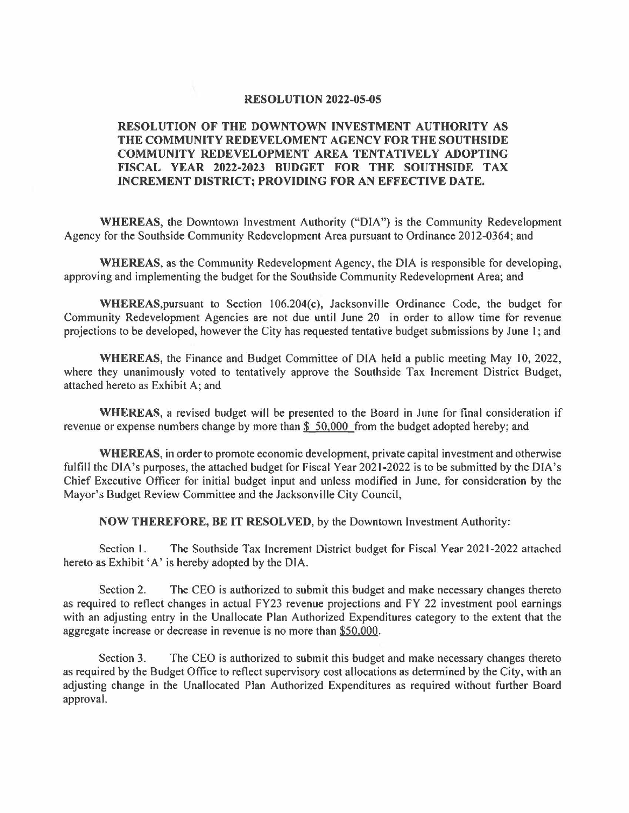#### **RESOLUTION 2022-05-05**

## **RESOLUTION OF THE DOWNTOWN INVESTMENT AUTHORITY AS THE COMMUNITY REDEVELOMENT AGENCY FOR THE SOUTHSIDE COMMUNITY REDEVELOPMENT AREA TENTATIVELY ADOPTING FISCAL YEAR 2022-2023 BUDGET FOR THE SOUTHSIDE TAX INCREMENT DISTRICT; PROVIDING FOR AN EFFECTIVE DATE.**

**WHEREAS,** the Downtown Investment Authority ("DIA") is the Community Redevelopment Agency for the Southside Community Redevelopment Area pursuant to Ordinance 2012-0364; and

**WHEREAS,** as the Community Redevelopment Agency, the DIA is responsible for developing, approving and implementing the budget for the Southside Community Redevelopment Area; and

WHEREAS, pursuant to Section 106.204(c), Jacksonville Ordinance Code, the budget for Community Redevelopment Agencies are not due until June 20 in order to allow time for revenue projections to be developed, however the City has requested tentative budget submissions by June l; and

**WHEREAS, the Finance and Budget Committee of DIA held a public meeting May 10, 2022,** where they unanimously voted to tentatively approve the Southside Tax Increment District Budget, attached hereto as Exhibit A; and

**WHEREAS,** a revised budget will be presented to the Board in June for final consideration if revenue or expense numbers change by more than  $$50,000$  from the budget adopted hereby; and

**WHEREAS,** in order to promote economic development, private capital investment and otherwise fulfill the DIA's purposes, the attached budget for Fiscal Year 2021-2022 is to be submitted by the DIA's Chief Executive Officer for initial budget input and unless modified in June, for consideration by the Mayor's Budget Review Committee and the Jacksonville City Council,

**NOW THEREFORE, BE IT RESOLVED,** by the Downtown Investment Authority:

Section l. The Southside Tax Increment District budget for Fiscal Year 2021-2022 attached hereto as Exhibit 'A' is hereby adopted by the DIA.

Section 2. The CEO is authorized to submit this budget and make necessary changes thereto as required to reflect changes in actual FY23 revenue projections and FY 22 investment pool earnings with an adjusting entry in the Unallocate Plan Authorized Expenditures category to the extent that the aggregate increase or decrease in revenue is no more than \$50,000.

Section 3. The CEO is authorized to submit this budget and make necessary changes thereto as required by the Budget Office to reflect supervisory cost allocations as determined by the City, with an adjusting change in the Unallocated Plan Authorized Expenditures as required without further Board approval.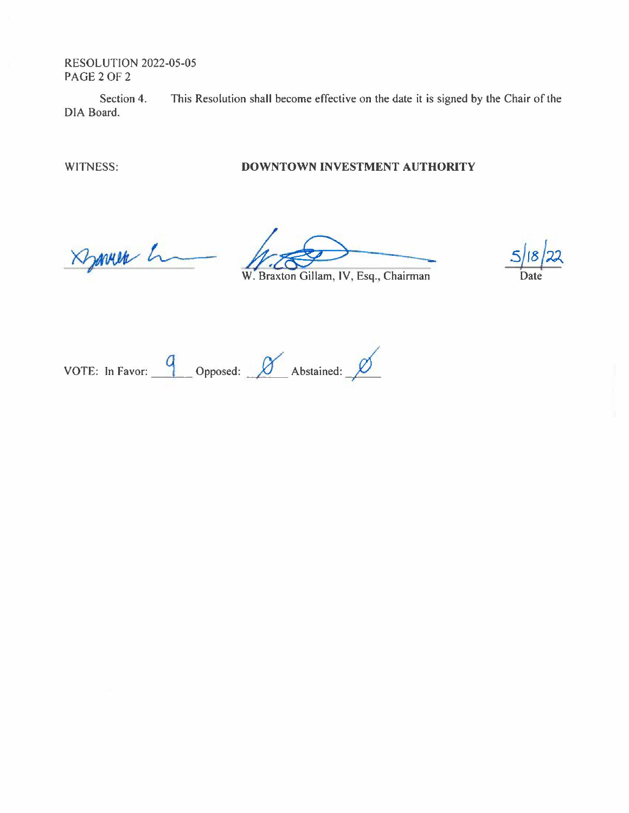RESOLUTION 2022-05-05 PAGE2OF2

Section 4. This Resolution shall become effective on the date it is signed by the Chair of the DIA Board.

### WITNESS: **DOWNTOWN INVESTMENT AUTHORITY**

Dynner h

A<br> *N. Braxton Gillam, IV, Esq., Chairman*<br>
Date W. Braxton Gillam, IV, Esq., Chairman

VOTE: In Favor: 9 Opposed: *O* Abstained: <u>*D*</u>